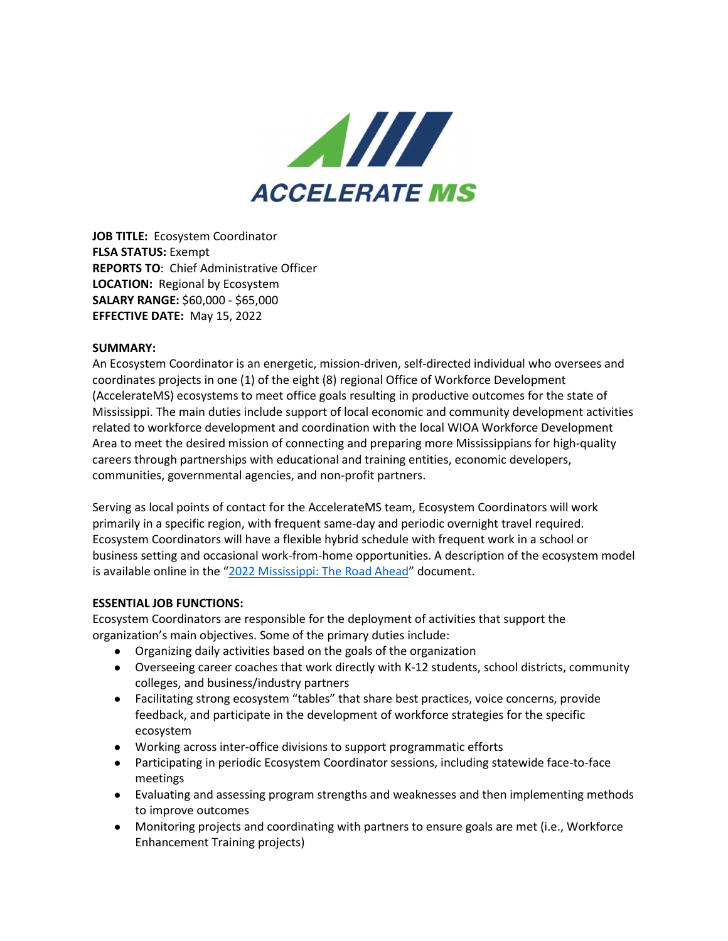

**JOB TITLE:** Ecosystem Coordinator **FLSA STATUS:** Exempt **REPORTS TO**: Chief Administrative Officer **LOCATION:** Regional by Ecosystem **SALARY RANGE:** \$60,000 - \$65,000 **EFFECTIVE DATE:** May 15, 2022

## **SUMMARY:**

An Ecosystem Coordinator is an energetic, mission-driven, self-directed individual who oversees and coordinates projects in one (1) of the eight (8) regional Office of Workforce Development (AccelerateMS) ecosystems to meet office goals resulting in productive outcomes for the state of Mississippi. The main duties include support of local economic and community development activities related to workforce development and coordination with the local WIOA Workforce Development Area to meet the desired mission of connecting and preparing more Mississippians for high-quality careers through partnerships with educational and training entities, economic developers, communities, governmental agencies, and non-profit partners.

Serving as local points of contact for the AccelerateMS team, Ecosystem Coordinators will work primarily in a specific region, with frequent same-day and periodic overnight travel required. Ecosystem Coordinators will have a flexible hybrid schedule with frequent work in a school or business setting and occasional work-from-home opportunities. A description of the ecosystem model is available online in the ["2022 Mississippi: The Road Ahead"](https://acceleratems.org/wp-content/uploads/ACCMS-29055-EDEL-Booklet-7x10-FINAL-3-29-22-LOW-RES.pdf) document.

## **ESSENTIAL JOB FUNCTIONS:**

Ecosystem Coordinators are responsible for the deployment of activities that support the organization's main objectives. Some of the primary duties include:

- Organizing daily activities based on the goals of the organization
- Overseeing career coaches that work directly with K-12 students, school districts, community colleges, and business/industry partners
- Facilitating strong ecosystem "tables" that share best practices, voice concerns, provide feedback, and participate in the development of workforce strategies for the specific ecosystem
- Working across inter-office divisions to support programmatic efforts
- Participating in periodic Ecosystem Coordinator sessions, including statewide face-to-face meetings
- Evaluating and assessing program strengths and weaknesses and then implementing methods to improve outcomes
- Monitoring projects and coordinating with partners to ensure goals are met (i.e., Workforce Enhancement Training projects)